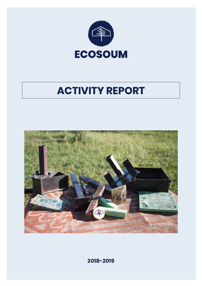

# **ACTIVITY REPORT**



**2018-2019**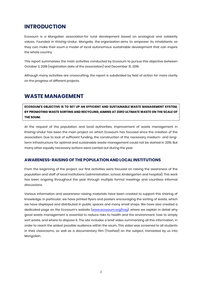## **INTRODUCTION**

Ecosoum is a Mongolian association for rural development based on ecological and solidarity values. Founded in Khishig-Undur, Mongolia, the organization aims to empower its inhabitants so they can make their soum a model of local autonomous sustainable development that can inspire the whole country.

This report summarizes the main activities conducted by Ecosoum to pursue this objective between October 3, 2018 (registration date of the association) and December 31, 2019.

Although many activities are crosscutting, the report is subdivided by field of action for more clarity on the progress of different projects.

### **WASTE MANAGEMENT**

**ECOSOUM'S OBJECTIVE IS TO SET UP AN EFFICIENT AND SUSTAINABLE WASTE MANAGEMENT SYSTEM, BY PROMOTING WASTE SORTING AND RECYCLING, AIMING AT ZERO ULTIMATE WASTE ON THE SCALE OF THE SOUM.**

At the request of the population and local authorities, improvement of waste management in Khishig-Undur has been the main project on which Ecosoum has focused since the creation of the association. Due to lack of sufficient funding, the construction of the necessary medium- and longterm infrastructure for optimal and sustainable waste management could not be started in 2019. But many other equally necessary actions were carried out during the year.

#### **AWARENESS-RAISING OF THE POPULATION AND LOCAL INSTITUTIONS**

From the beginning of the project, our first activities were focused on raising the awareness of the population and staff of local institutions (administration, school, kindergarten and hospital). This work has been ongoing throughout the year through multiple formal meetings and countless informal discussions.

Various information and awareness-raising materials have been created to support this sharing of knowledge. In particular, we have printed flyers and posters encouraging the sorting of waste, which we have displayed and distributed in public spaces and many small shops. We have also created a dedicated page on the Ecosoum's website (www.ecosoum.org/hog), where we explain in detail why good waste management is essential to reduce risks to health and the environment, how to simply sort waste, and where to dispose it. The site includes a brief video summarizing all this information, in order to reach the widest possible audience within the soum. This video was screened to all students in their classrooms, as well as a documentary film (*Trashed*) on the subject, translated by us into Mongolian.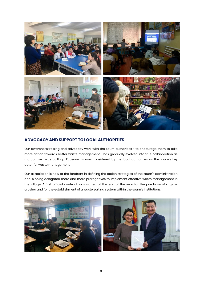

#### **ADVOCACY AND SUPPORT TO LOCAL AUTHORITIES**

Our awareness-raising and advocacy work with the soum authorities - to encourage them to take more action towards better waste management - has gradually evolved into true collaboration as mutual trust was built up. Ecosoum is now considered by the local authorities as the soum's key actor for waste management.

Our association is now at the forefront in defining the action strategies of the soum's administration and is being delegated more and more prerogatives to implement effective waste management in the village. A first official contract was signed at the end of the year for the purchase of a glass crusher and for the establishment of a waste sorting system within the soum's institutions.

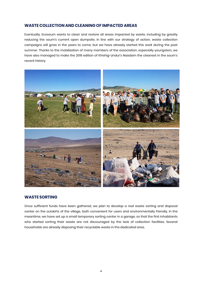#### **WASTE COLLECTION AND CLEANING OF IMPACTED AREAS**

Eventually, Ecosoum wants to clean and restore all areas impacted by waste, including by greatly reducing the soum's current open dumpsite. In line with our strategy of action, waste collection campaigns will grow in the years to come, but we have already started this work during the past summer. Thanks to the mobilization of many members of the association, especially youngsters, we have also managed to make the 2019 edition of Khishig-Undur's Naadam the cleanest in the soum's recent history.



#### **WASTE SORTING**

Once sufficient funds have been gathered, we plan to develop a real waste sorting and disposal center on the outskirts of the village, both convenient for users and environmentally friendly. In the meantime, we have set up a small temporary sorting center in a garage, so that the first inhabitants who started sorting their waste are not discouraged by the lack of collection facilities. Several households are already disposing their recyclable waste in the dedicated area.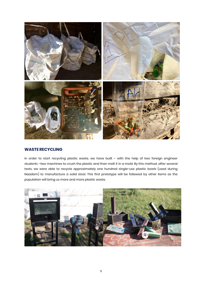

#### **WASTERECYCLING**

In order to start recycling plastic waste, we have built – with the help of two foreign engineer students –two machines to crush the plastic and then melt it in a mold. By this method, after several tests, we were able to recycle approximately one hundred single-use plastic bowls (used during Naadam) to manufacture a solid stool. This first prototype will be followed by other items as the population will bring us more and more plastic waste.

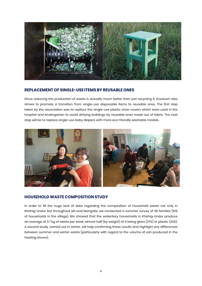

#### **REPLACEMENT OF SINGLE-USE ITEMSBYREUSABLE ONES**

Since reducing the production of waste is actually much better than just recycling it, Ecosoum also strives to promote a transition from single-use disposable items to reusable ones. The first step taken by the association was to replace the single-use plastic shoe-covers which were used in the hospital and kindergarten to avoid dirtying buildings by reusable ones made out of fabric. The next step will be to replace single-use baby diapers with more eco-friendly washable models.



#### **HOUSEHOLDWASTE COMPOSITION STUDY**

In order to fill the huge lack of data regarding the composition of household waste not only in Khishig-Undur but throughout all rural Mongolia, we conducted a summer survey of 36 families (10% of households in the village). We showed that the sedentary households in Khishig-Undur produce an average of 3.7 kg of waste per week, almost half (by weight) of it being glass (27%) or plastic (20%). A second study, carried out in winter, will help confirming these results and highlight any differences between summer and winter waste (particularly with regard to the volume of ash produced in the heating stoves).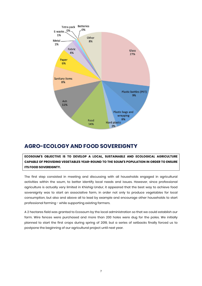

# **AGRO-ECOLOGY AND FOOD SOVEREIGNTY**

**ECOSOUM'S OBJECTIVE IS TO DEVELOP A LOCAL, SUSTAINABLE AND ECOLOGICAL AGRICULTURE CAPABLE OF PROVIDING VEGETABLES YEAR-ROUND TO THE SOUM'S POPULATION IN ORDER TO ENSURE ITS FOOD SOVEREIGNTY.**

The first step consisted in meeting and discussing with all households engaged in agricultural activities within the soum, to better identify local needs and issues. However, since professional agriculture is actually very limited in Khishig-Undur, it appeared that the best way to achieve food sovereignty was to start an associative farm, in order not only to produce vegetables for local consumption, but also and above all to lead by example and encourage other households to start professional farming - while supporting existing farmers.

A 2 hectares field was granted to Ecosoum by the local administration so that we could establish our farm. Wire fences were purchased and more than 200 holes were dug for the poles. We initially planned to start the first crops during spring of 2019, but a series of setbacks finally forced us to postpone the beginning of our agricultural project until next year.